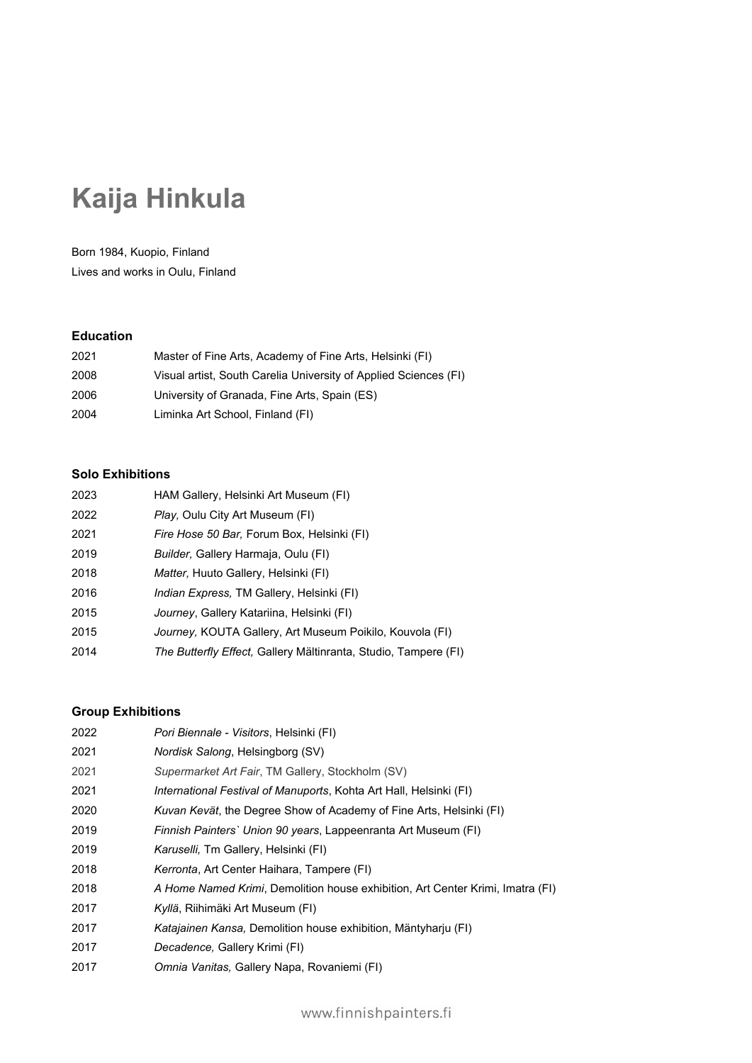# **Kaija Hinkula**

Born 1984, Kuopio, Finland Lives and works in Oulu, Finland

#### **Education**

| 2021 | Master of Fine Arts, Academy of Fine Arts, Helsinki (FI)         |
|------|------------------------------------------------------------------|
| 2008 | Visual artist, South Carelia University of Applied Sciences (FI) |
| 2006 | University of Granada, Fine Arts, Spain (ES)                     |
| 2004 | Liminka Art School, Finland (FI)                                 |

## **Solo Exhibitions**

| 2023 | HAM Gallery, Helsinki Art Museum (FI)                           |
|------|-----------------------------------------------------------------|
| 2022 | Play, Oulu City Art Museum (FI)                                 |
| 2021 | <i>Fire Hose 50 Bar, Forum Box, Helsinki (FI)</i>               |
| 2019 | <i>Builder, Gallery Harmaja, Oulu (FI)</i>                      |
| 2018 | Matter, Huuto Gallery, Helsinki (FI)                            |
| 2016 | <i>Indian Express, TM Gallery, Helsinki (FI)</i>                |
| 2015 | Journey, Gallery Katariina, Helsinki (FI)                       |
| 2015 | Journey, KOUTA Gallery, Art Museum Poikilo, Kouvola (FI)        |
| 2014 | The Butterfly Effect, Gallery Mältinranta, Studio, Tampere (FI) |

## **Group Exhibitions**

| 2022 | Pori Biennale - Visitors, Helsinki (FI)                                        |
|------|--------------------------------------------------------------------------------|
| 2021 | Nordisk Salong, Helsingborg (SV)                                               |
| 2021 | Supermarket Art Fair, TM Gallery, Stockholm (SV)                               |
| 2021 | <i>International Festival of Manuports, Kohta Art Hall, Helsinki (FI)</i>      |
| 2020 | Kuvan Kevät, the Degree Show of Academy of Fine Arts, Helsinki (FI)            |
| 2019 | Finnish Painters' Union 90 years, Lappeenranta Art Museum (FI)                 |
| 2019 | <i>Karuselli</i> , Tm Gallery, Helsinki (FI)                                   |
| 2018 | Kerronta, Art Center Haihara, Tampere (FI)                                     |
| 2018 | A Home Named Krimi, Demolition house exhibition, Art Center Krimi, Imatra (FI) |
| 2017 | Kyllä, Riihimäki Art Museum (FI)                                               |
| 2017 | Katajainen Kansa, Demolition house exhibition, Mäntyharju (FI)                 |
| 2017 | Decadence, Gallery Krimi (FI)                                                  |
| 2017 | Omnia Vanitas, Gallery Napa, Rovaniemi (FI)                                    |